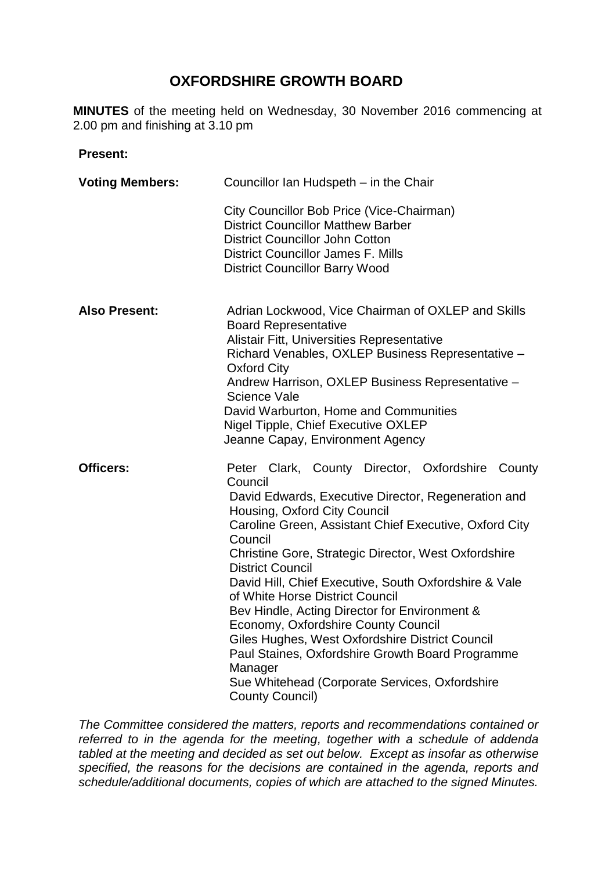# **OXFORDSHIRE GROWTH BOARD**

**MINUTES** of the meeting held on Wednesday, 30 November 2016 commencing at 2.00 pm and finishing at 3.10 pm

#### **Present:**

| <b>Voting Members:</b> | Councillor Ian Hudspeth - in the Chair                                                                                                                                                                                                                                                                                                                                                                                                                                                                                                                                                                                                                                                       |
|------------------------|----------------------------------------------------------------------------------------------------------------------------------------------------------------------------------------------------------------------------------------------------------------------------------------------------------------------------------------------------------------------------------------------------------------------------------------------------------------------------------------------------------------------------------------------------------------------------------------------------------------------------------------------------------------------------------------------|
|                        | City Councillor Bob Price (Vice-Chairman)<br><b>District Councillor Matthew Barber</b><br><b>District Councillor John Cotton</b><br><b>District Councillor James F. Mills</b><br><b>District Councillor Barry Wood</b>                                                                                                                                                                                                                                                                                                                                                                                                                                                                       |
| <b>Also Present:</b>   | Adrian Lockwood, Vice Chairman of OXLEP and Skills<br><b>Board Representative</b><br>Alistair Fitt, Universities Representative<br>Richard Venables, OXLEP Business Representative -<br><b>Oxford City</b><br>Andrew Harrison, OXLEP Business Representative -<br><b>Science Vale</b><br>David Warburton, Home and Communities<br>Nigel Tipple, Chief Executive OXLEP<br>Jeanne Capay, Environment Agency                                                                                                                                                                                                                                                                                    |
| <b>Officers:</b>       | Peter Clark, County Director, Oxfordshire County<br>Council<br>David Edwards, Executive Director, Regeneration and<br>Housing, Oxford City Council<br>Caroline Green, Assistant Chief Executive, Oxford City<br>Council<br>Christine Gore, Strategic Director, West Oxfordshire<br><b>District Council</b><br>David Hill, Chief Executive, South Oxfordshire & Vale<br>of White Horse District Council<br>Bev Hindle, Acting Director for Environment &<br>Economy, Oxfordshire County Council<br>Giles Hughes, West Oxfordshire District Council<br>Paul Staines, Oxfordshire Growth Board Programme<br>Manager<br>Sue Whitehead (Corporate Services, Oxfordshire<br><b>County Council)</b> |

*The Committee considered the matters, reports and recommendations contained or referred to in the agenda for the meeting, together with a schedule of addenda tabled at the meeting and decided as set out below. Except as insofar as otherwise specified, the reasons for the decisions are contained in the agenda, reports and schedule/additional documents, copies of which are attached to the signed Minutes.*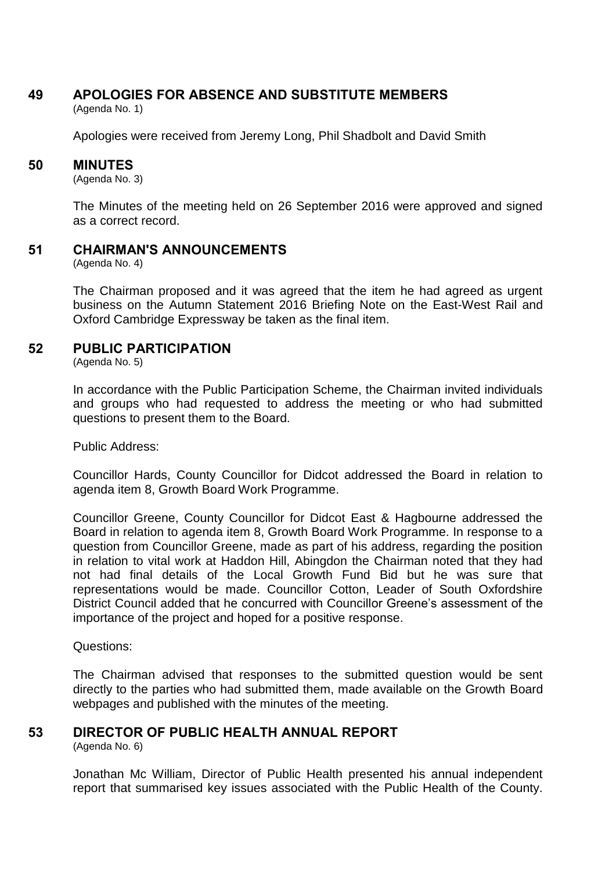## **49 APOLOGIES FOR ABSENCE AND SUBSTITUTE MEMBERS**

(Agenda No. 1)

Apologies were received from Jeremy Long, Phil Shadbolt and David Smith

#### **50 MINUTES**

(Agenda No. 3)

The Minutes of the meeting held on 26 September 2016 were approved and signed as a correct record.

**51 CHAIRMAN'S ANNOUNCEMENTS**

(Agenda No. 4)

The Chairman proposed and it was agreed that the item he had agreed as urgent business on the Autumn Statement 2016 Briefing Note on the East-West Rail and Oxford Cambridge Expressway be taken as the final item.

## **52 PUBLIC PARTICIPATION**

(Agenda No. 5)

In accordance with the Public Participation Scheme, the Chairman invited individuals and groups who had requested to address the meeting or who had submitted questions to present them to the Board.

Public Address:

Councillor Hards, County Councillor for Didcot addressed the Board in relation to agenda item 8, Growth Board Work Programme.

Councillor Greene, County Councillor for Didcot East & Hagbourne addressed the Board in relation to agenda item 8, Growth Board Work Programme. In response to a question from Councillor Greene, made as part of his address, regarding the position in relation to vital work at Haddon Hill, Abingdon the Chairman noted that they had not had final details of the Local Growth Fund Bid but he was sure that representations would be made. Councillor Cotton, Leader of South Oxfordshire District Council added that he concurred with Councillor Greene's assessment of the importance of the project and hoped for a positive response.

Questions:

The Chairman advised that responses to the submitted question would be sent directly to the parties who had submitted them, made available on the Growth Board webpages and published with the minutes of the meeting.

## **53 DIRECTOR OF PUBLIC HEALTH ANNUAL REPORT**

(Agenda No. 6)

Jonathan Mc William, Director of Public Health presented his annual independent report that summarised key issues associated with the Public Health of the County.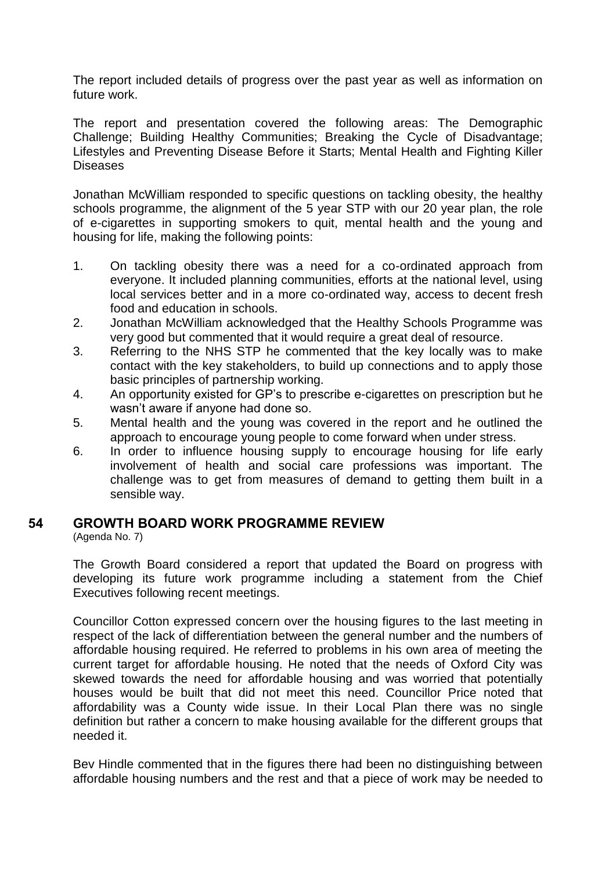The report included details of progress over the past year as well as information on future work.

The report and presentation covered the following areas: The Demographic Challenge; Building Healthy Communities; Breaking the Cycle of Disadvantage; Lifestyles and Preventing Disease Before it Starts; Mental Health and Fighting Killer Diseases

Jonathan McWilliam responded to specific questions on tackling obesity, the healthy schools programme, the alignment of the 5 year STP with our 20 year plan, the role of e-cigarettes in supporting smokers to quit, mental health and the young and housing for life, making the following points:

- 1. On tackling obesity there was a need for a co-ordinated approach from everyone. It included planning communities, efforts at the national level, using local services better and in a more co-ordinated way, access to decent fresh food and education in schools.
- 2. Jonathan McWilliam acknowledged that the Healthy Schools Programme was very good but commented that it would require a great deal of resource.
- 3. Referring to the NHS STP he commented that the key locally was to make contact with the key stakeholders, to build up connections and to apply those basic principles of partnership working.
- 4. An opportunity existed for GP's to prescribe e-cigarettes on prescription but he wasn't aware if anyone had done so.
- 5. Mental health and the young was covered in the report and he outlined the approach to encourage young people to come forward when under stress.
- 6. In order to influence housing supply to encourage housing for life early involvement of health and social care professions was important. The challenge was to get from measures of demand to getting them built in a sensible way.

## **54 GROWTH BOARD WORK PROGRAMME REVIEW**

(Agenda No. 7)

The Growth Board considered a report that updated the Board on progress with developing its future work programme including a statement from the Chief Executives following recent meetings.

Councillor Cotton expressed concern over the housing figures to the last meeting in respect of the lack of differentiation between the general number and the numbers of affordable housing required. He referred to problems in his own area of meeting the current target for affordable housing. He noted that the needs of Oxford City was skewed towards the need for affordable housing and was worried that potentially houses would be built that did not meet this need. Councillor Price noted that affordability was a County wide issue. In their Local Plan there was no single definition but rather a concern to make housing available for the different groups that needed it.

Bev Hindle commented that in the figures there had been no distinguishing between affordable housing numbers and the rest and that a piece of work may be needed to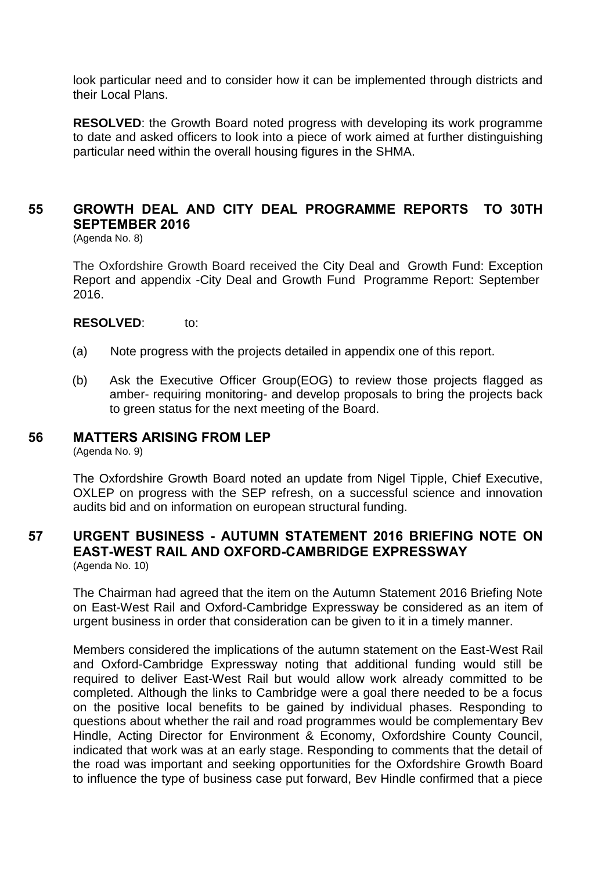look particular need and to consider how it can be implemented through districts and their Local Plans.

**RESOLVED**: the Growth Board noted progress with developing its work programme to date and asked officers to look into a piece of work aimed at further distinguishing particular need within the overall housing figures in the SHMA.

## **55 GROWTH DEAL AND CITY DEAL PROGRAMME REPORTS TO 30TH SEPTEMBER 2016**

(Agenda No. 8)

The Oxfordshire Growth Board received the City Deal and Growth Fund: Exception Report and appendix -City Deal and Growth Fund Programme Report: September 2016.

**RESOLVED**: to:

- (a) Note progress with the projects detailed in appendix one of this report.
- (b) Ask the Executive Officer Group(EOG) to review those projects flagged as amber- requiring monitoring- and develop proposals to bring the projects back to green status for the next meeting of the Board.

### **56 MATTERS ARISING FROM LEP**

(Agenda No. 9)

The Oxfordshire Growth Board noted an update from Nigel Tipple, Chief Executive, OXLEP on progress with the SEP refresh, on a successful science and innovation audits bid and on information on european structural funding.

### **57 URGENT BUSINESS - AUTUMN STATEMENT 2016 BRIEFING NOTE ON EAST-WEST RAIL AND OXFORD-CAMBRIDGE EXPRESSWAY** (Agenda No. 10)

The Chairman had agreed that the item on the Autumn Statement 2016 Briefing Note on East-West Rail and Oxford-Cambridge Expressway be considered as an item of urgent business in order that consideration can be given to it in a timely manner.

Members considered the implications of the autumn statement on the East-West Rail and Oxford-Cambridge Expressway noting that additional funding would still be required to deliver East-West Rail but would allow work already committed to be completed. Although the links to Cambridge were a goal there needed to be a focus on the positive local benefits to be gained by individual phases. Responding to questions about whether the rail and road programmes would be complementary Bev Hindle, Acting Director for Environment & Economy, Oxfordshire County Council, indicated that work was at an early stage. Responding to comments that the detail of the road was important and seeking opportunities for the Oxfordshire Growth Board to influence the type of business case put forward, Bev Hindle confirmed that a piece